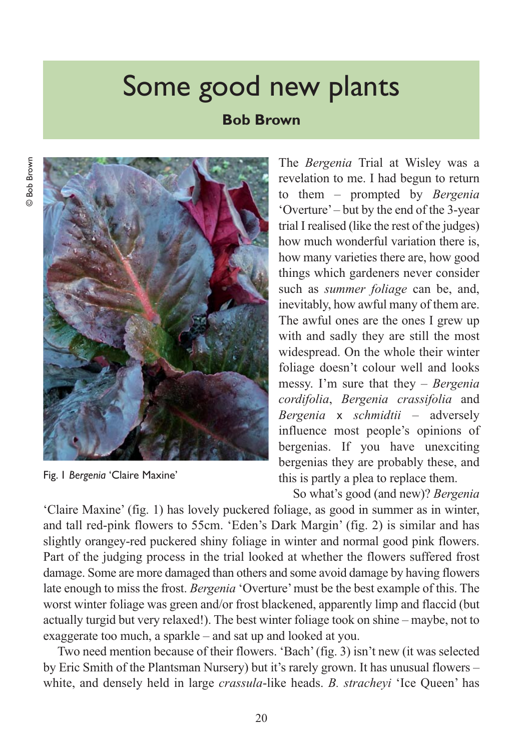## Some good new plants

## **Bob Brown**



Fig. 1 *Bergenia* 'Claire Maxine'

The *Bergenia* Trial at Wisley was a revelation to me. I had begun to return to them – prompted by *Bergenia* 'Overture' – but by the end of the 3-year trial I realised (like the rest of the judges) how much wonderful variation there is, how many varieties there are, how good things which gardeners never consider such as *summer foliage* can be, and, inevitably, how awful many of them are. The awful ones are the ones I grew up with and sadly they are still the most widespread. On the whole their winter foliage doesn't colour well and looks messy. I'm sure that they – *Bergenia cordifolia*, *Bergenia crassifolia* and *Bergenia* x *schmidtii* – adversely influence most people's opinions of bergenias. If you have unexciting bergenias they are probably these, and this is partly a plea to replace them.

So what's good (and new)? *Bergenia*

'Claire Maxine' (fig. 1) has lovely puckered foliage, as good in summer as in winter, and tall red-pink flowers to 55cm. 'Eden's Dark Margin' (fig. 2) is similar and has slightly orangey-red puckered shiny foliage in winter and normal good pink flowers. Part of the judging process in the trial looked at whether the flowers suffered frost damage. Some are more damaged than others and some avoid damage by having flowers late enough to miss the frost. *Bergenia* 'Overture' must be the best example of this. The worst winter foliage was green and/or frost blackened, apparently limp and flaccid (but actually turgid but very relaxed!). The best winter foliage took on shine – maybe, not to exaggerate too much, a sparkle – and sat up and looked at you.

Two need mention because of their flowers. 'Bach' (fig. 3) isn't new (it was selected by Eric Smith of the Plantsman Nursery) but it's rarely grown. It has unusual flowers – white, and densely held in large *crassula*-like heads. *B. stracheyi* 'Ice Queen' has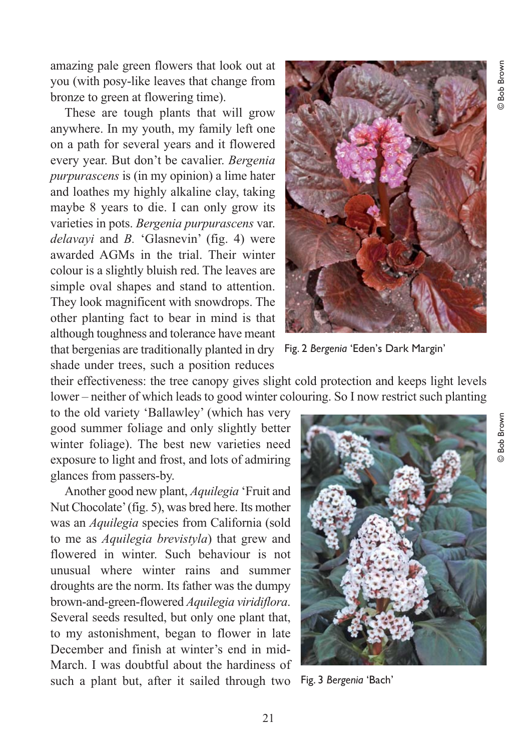amazing pale green flowers that look out at you (with posy-like leaves that change from bronze to green at flowering time).

These are tough plants that will grow anywhere. In my youth, my family left one on a path for several years and it flowered every year. But don't be cavalier. *Bergenia purpurascens* is (in my opinion) a lime hater and loathes my highly alkaline clay, taking maybe 8 years to die. I can only grow its varieties in pots. *Bergenia purpurascens* var. *delavayi* and *B.* 'Glasnevin' (fig. 4) were awarded AGMs in the trial. Their winter colour is a slightly bluish red. The leaves are simple oval shapes and stand to attention. They look magnificent with snowdrops. The other planting fact to bear in mind is that although toughness and tolerance have meant that bergenias are traditionally planted in dry Fig. 2 *Bergenia* 'Eden's Dark Margin' shade under trees, such a position reduces



their effectiveness: the tree canopy gives slight cold protection and keeps light levels lower – neither of which leads to good winter colouring. So I now restrict such planting

to the old variety 'Ballawley' (which has very good summer foliage and only slightly better winter foliage). The best new varieties need exposure to light and frost, and lots of admiring glances from passers-by.

Another good new plant, *Aquilegia* 'Fruit and Nut Chocolate' (fig. 5), was bred here. Its mother was an *Aquilegia* species from California (sold to me as *Aquilegia brevistyla*) that grew and flowered in winter. Such behaviour is not unusual where winter rains and summer droughts are the norm. Its father was the dumpy brown-and-green-flowered *Aquilegia viridiflora*. Several seeds resulted, but only one plant that, to my astonishment, began to flower in late December and finish at winter's end in mid-March. I was doubtful about the hardiness of such a plant but, after it sailed through two Fig. 3 *Bergenia* 'Bach'

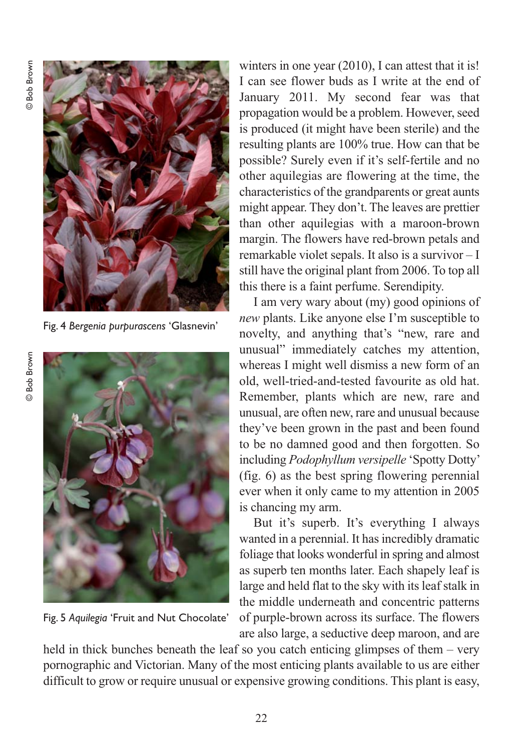

Fig. 4 *Bergenia purpurascens* 'Glasnevin'



Fig. 5 *Aquilegia* 'Fruit and Nut Chocolate'

winters in one year (2010), I can attest that it is! I can see flower buds as I write at the end of January 2011. My second fear was that propagation would be a problem. However, seed is produced (it might have been sterile) and the resulting plants are 100% true. How can that be possible? Surely even if it's self-fertile and no other aquilegias are flowering at the time, the characteristics of the grandparents or great aunts might appear. They don't. The leaves are prettier than other aquilegias with a maroon-brown margin. The flowers have red-brown petals and remarkable violet sepals. It also is a survivor – I still have the original plant from 2006. To top all this there is a faint perfume. Serendipity.

I am very wary about (my) good opinions of *new* plants. Like anyone else I'm susceptible to novelty, and anything that's "new, rare and unusual" immediately catches my attention, whereas I might well dismiss a new form of an old, well-tried-and-tested favourite as old hat. Remember, plants which are new, rare and unusual, are often new, rare and unusual because they've been grown in the past and been found to be no damned good and then forgotten. So including *Podophyllum versipelle* 'Spotty Dotty' (fig. 6) as the best spring flowering perennial ever when it only came to my attention in 2005 is chancing my arm.

But it's superb. It's everything I always wanted in a perennial. It has incredibly dramatic foliage that looks wonderful in spring and almost as superb ten months later. Each shapely leaf is large and held flat to the sky with its leaf stalk in the middle underneath and concentric patterns of purple-brown across its surface. The flowers are also large, a seductive deep maroon, and are

held in thick bunches beneath the leaf so you catch enticing glimpses of them – very pornographic and Victorian. Many of the most enticing plants available to us are either difficult to grow or require unusual or expensive growing conditions. This plant is easy,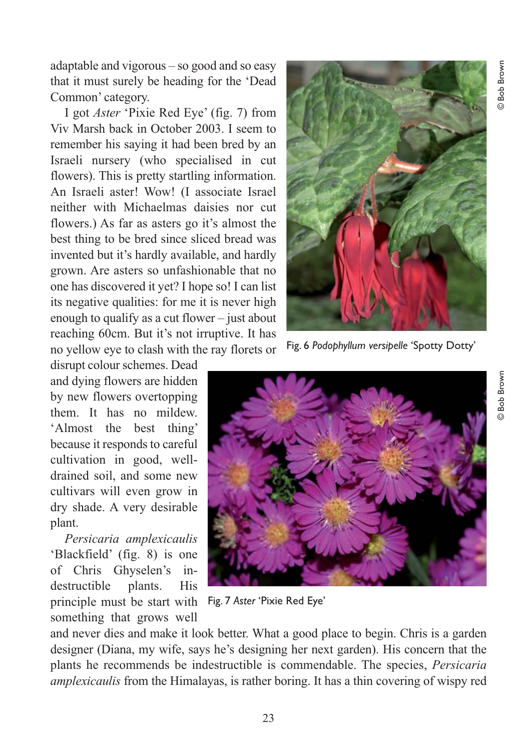adaptable and vigorous – so good and so easy that it must surely be heading for the 'Dead Common' category.

I got *Aster* 'Pixie Red Eye' (fig. 7) from Viv Marsh back in October 2003. I seem to remember his saying it had been bred by an Israeli nursery (who specialised in cut flowers). This is pretty startling information. An Israeli aster! Wow! (I associate Israel neither with Michaelmas daisies nor cut flowers.) As far as asters go it's almost the best thing to be bred since sliced bread was invented but it's hardly available, and hardly grown. Are asters so unfashionable that no one has discovered it yet? I hope so! I can list its negative qualities: for me it is never high enough to qualify as a cut flower – just about reaching 60cm. But it's not irruptive. It has no yellow eye to clash with the ray florets or

disrupt colour schemes. Dead and dying flowers are hidden by new flowers overtopping them. It has no mildew. 'Almost the best thing' because it responds to careful cultivation in good, welldrained soil, and some new cultivars will even grow in dry shade. A very desirable plant.

*Persicaria amplexicaulis* 'Blackfield' (fig. 8) is one of Chris Ghyselen's indestructible plants. His principle must be start with something that grows well



Fig. 6 *Podophyllum versipelle* 'Spotty Dotty'



Fig. 7 *Aster* 'Pixie Red Eye'

and never dies and make it look better. What a good place to begin. Chris is a garden designer (Diana, my wife, says he's designing her next garden). His concern that the plants he recommends be indestructible is commendable. The species, *Persicaria amplexicaulis* from the Himalayas, is rather boring. It has a thin covering of wispy red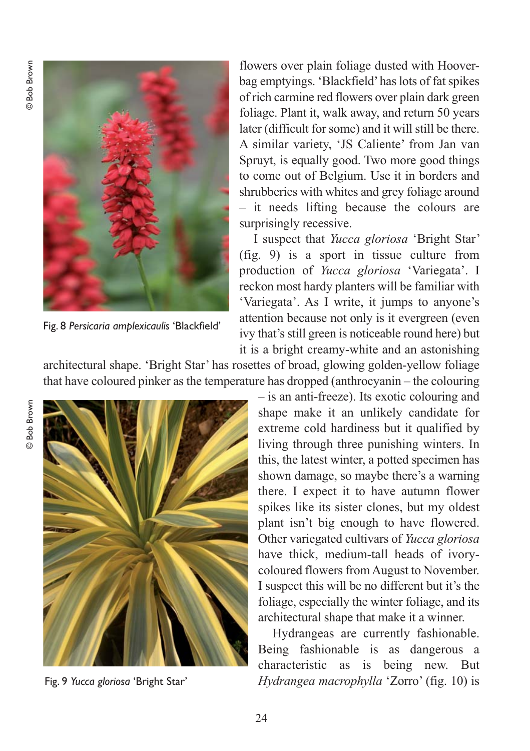**Bob Brown** © Bob Brown



Fig. 8 *Persicaria amplexicaulis* 'Blackfield'

flowers over plain foliage dusted with Hooverbag emptyings. 'Blackfield' has lots of fat spikes of rich carmine red flowers over plain dark green foliage. Plant it, walk away, and return 50 years later (difficult for some) and it will still be there. A similar variety, 'JS Caliente' from Jan van Spruyt, is equally good. Two more good things to come out of Belgium. Use it in borders and shrubberies with whites and grey foliage around – it needs lifting because the colours are surprisingly recessive.

I suspect that *Yucca gloriosa* 'Bright Star' (fig. 9) is a sport in tissue culture from production of *Yucca gloriosa* 'Variegata'. I reckon most hardy planters will be familiar with 'Variegata'. As I write, it jumps to anyone's attention because not only is it evergreen (even ivy that's still green is noticeable round here) but it is a bright creamy-white and an astonishing

architectural shape. 'Bright Star' has rosettes of broad, glowing golden-yellow foliage that have coloured pinker as the temperature has dropped (anthrocyanin – the colouring



Fig. 9 *Yucca gloriosa* 'Bright Star'

– is an anti-freeze). Its exotic colouring and shape make it an unlikely candidate for extreme cold hardiness but it qualified by living through three punishing winters. In this, the latest winter, a potted specimen has shown damage, so maybe there's a warning there. I expect it to have autumn flower spikes like its sister clones, but my oldest plant isn't big enough to have flowered. Other variegated cultivars of *Yucca gloriosa* have thick, medium-tall heads of ivorycoloured flowers from August to November. I suspect this will be no different but it's the foliage, especially the winter foliage, and its architectural shape that make it a winner.

Hydrangeas are currently fashionable. Being fashionable is as dangerous a characteristic as is being new. But *Hydrangea macrophylla* 'Zorro' (fig. 10) is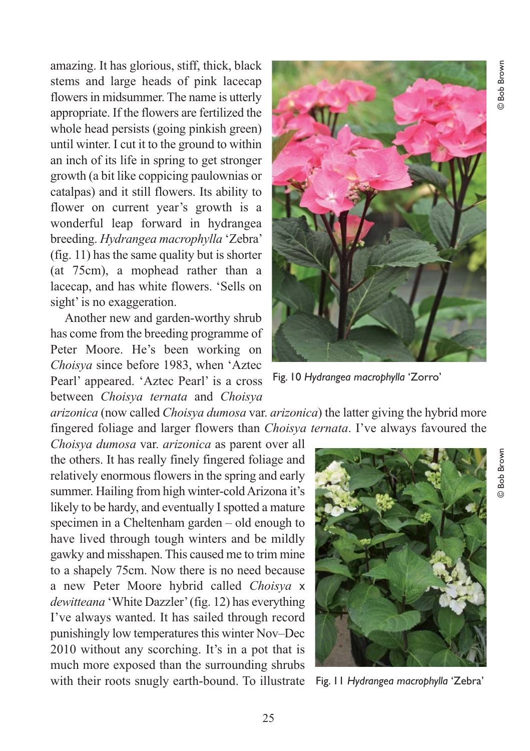amazing. It has glorious, stiff, thick, black stems and large heads of pink lacecap flowers in midsummer. The name is utterly appropriate. If the flowers are fertilized the whole head persists (going pinkish green) until winter. I cut it to the ground to within an inch of its life in spring to get stronger growth (a bit like coppicing paulownias or catalpas) and it still flowers. Its ability to flower on current year's growth is a wonderful leap forward in hydrangea breeding. *Hydrangea macrophylla* 'Zebra' (fig. 11) has the same quality but is shorter (at 75cm), a mophead rather than a lacecap, and has white flowers. 'Sells on sight' is no exaggeration.

Another new and garden-worthy shrub has come from the breeding programme of Peter Moore. He's been working on *Choisya* since before 1983, when 'Aztec Pearl' appeared. 'Aztec Pearl' is a cross between *Choisya ternata* and *Choisya*



Fig. 10 *Hydrangea macrophylla* 'Zorro'

*arizonica* (now called *Choisya dumosa* var. *arizonica*) the latter giving the hybrid more fingered foliage and larger flowers than *Choisya ternata*. I've always favoured the

*Choisya dumosa* var. *arizonica* as parent over all the others. It has really finely fingered foliage and relatively enormous flowers in the spring and early summer. Hailing from high winter-cold Arizona it's likely to be hardy, and eventually I spotted a mature specimen in a Cheltenham garden – old enough to have lived through tough winters and be mildly gawky and misshapen. This caused me to trim mine to a shapely 75cm. Now there is no need because a new Peter Moore hybrid called *Choisya* x *dewitteana* 'White Dazzler' (fig. 12) has everything I've always wanted. It has sailed through record punishingly low temperatures this winter Nov–Dec 2010 without any scorching. It's in a pot that is much more exposed than the surrounding shrubs with their roots snugly earth-bound. To illustrate



Fig. 11 *Hydrangea macrophylla* 'Zebra'